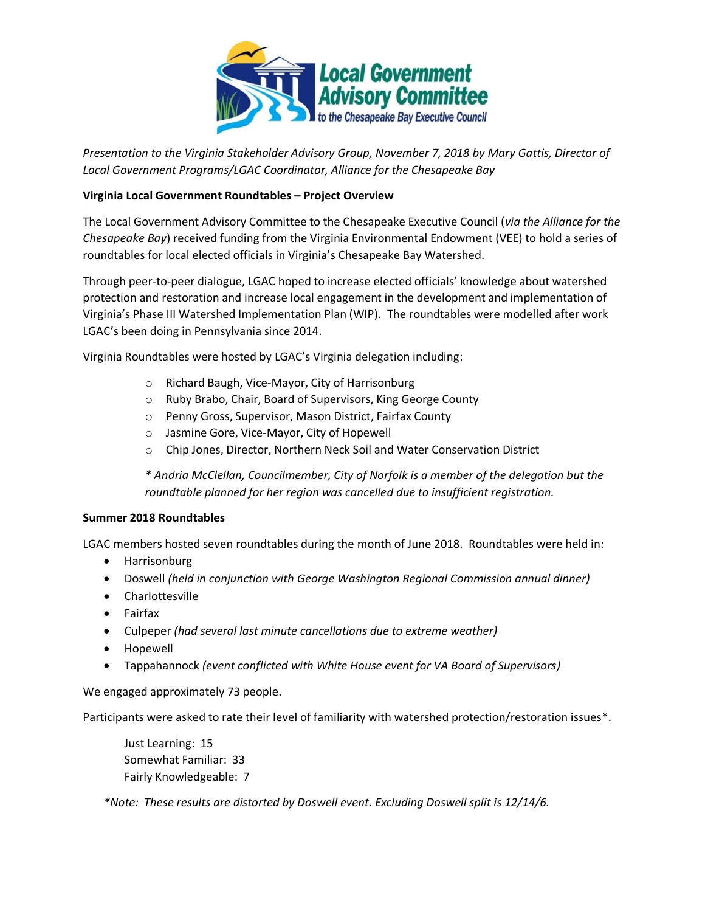

*Presentation to the Virginia Stakeholder Advisory Group, November 7, 2018 by Mary Gattis, Director of Local Government Programs/LGAC Coordinator, Alliance for the Chesapeake Bay*

## **Virginia Local Government Roundtables – Project Overview**

The Local Government Advisory Committee to the Chesapeake Executive Council (*via the Alliance for the Chesapeake Bay*) received funding from the Virginia Environmental Endowment (VEE) to hold a series of roundtables for local elected officials in Virginia's Chesapeake Bay Watershed.

Through peer-to-peer dialogue, LGAC hoped to increase elected officials' knowledge about watershed protection and restoration and increase local engagement in the development and implementation of Virginia's Phase III Watershed Implementation Plan (WIP). The roundtables were modelled after work LGAC's been doing in Pennsylvania since 2014.

Virginia Roundtables were hosted by LGAC's Virginia delegation including:

- o Richard Baugh, Vice-Mayor, City of Harrisonburg
- o Ruby Brabo, Chair, Board of Supervisors, King George County
- o Penny Gross, Supervisor, Mason District, Fairfax County
- o Jasmine Gore, Vice-Mayor, City of Hopewell
- o Chip Jones, Director, Northern Neck Soil and Water Conservation District

*\* Andria McClellan, Councilmember, City of Norfolk is a member of the delegation but the roundtable planned for her region was cancelled due to insufficient registration.* 

## **Summer 2018 Roundtables**

LGAC members hosted seven roundtables during the month of June 2018. Roundtables were held in:

- Harrisonburg
- Doswell *(held in conjunction with George Washington Regional Commission annual dinner)*
- Charlottesville
- Fairfax
- Culpeper *(had several last minute cancellations due to extreme weather)*
- Hopewell
- Tappahannock *(event conflicted with White House event for VA Board of Supervisors)*

We engaged approximately 73 people.

Participants were asked to rate their level of familiarity with watershed protection/restoration issues\*.

Just Learning: 15 Somewhat Familiar: 33 Fairly Knowledgeable: 7

*\*Note: These results are distorted by Doswell event. Excluding Doswell split is 12/14/6.*